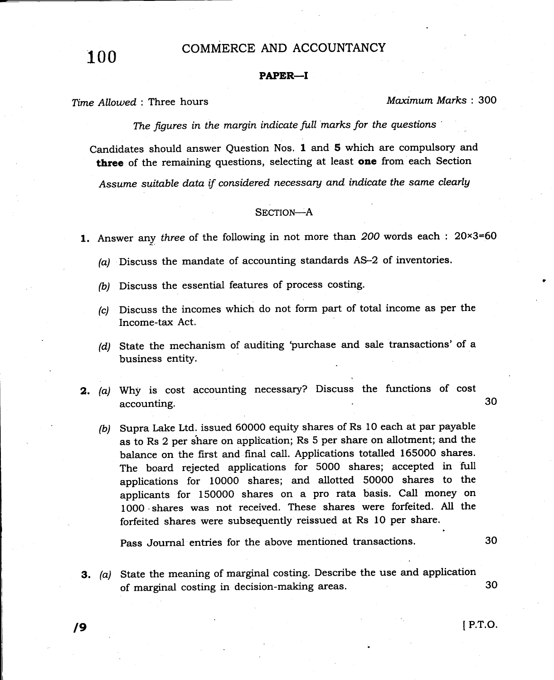# 100 COMMERCE AND ACCOUNTANCY

## PAPER-I

## Time Allowed: Three hours Maximum Marks : 300

The figures in the margin indicate full marks for the questions

Candidates should answer Question Nos. 1 and 5 which are compulsory and three of the remaining questions, selecting at least one from each Section Assume suitable data if considered necessary and indicate the same clearly

### SECTION-A

1. Answer any three of the following in not more than  $200$  words each :  $20 \times 3=60$ 

- $(a)$  Discuss the mandate of accounting standards AS-2 of inventories.
- (b) Discuss the essential features of process costing.
- (c) Discuss the incomes which do not form part of total income as per the Income-ta< Act.
- (d) State the mechanism of auditing 'purchase and sale transactions' of <sup>a</sup> business entitY.
- 2. (a) Why is cost accounting necessary? Discuss the functions of cost accounting 30
	- (b) Supra Lake Ltd. issued 6OOOO equity shares of Rs 10 each at par payable as to Rs 2 per share on application; Rs 5 per share on allotment; and the balance on the first and final call. Applications totalled 165000 shares. The board rejected applications for 5000 shares; accepted in full applications for 10000 shares; and allotted 50000 shares to the applicants for I5O0OO shares on a pro rata basis. Call money on looo.shares was not received. These shares were forfeited. A11 the forfeited shares were subsequently reissued at Rs 1O per share.

Pass Journal entries for the above mentioned transactions. <sup>30</sup>

**3.** (a) State the meaning of marginal costing. Describe the use and application of marginal costing in decision-making areas. <sup>30</sup>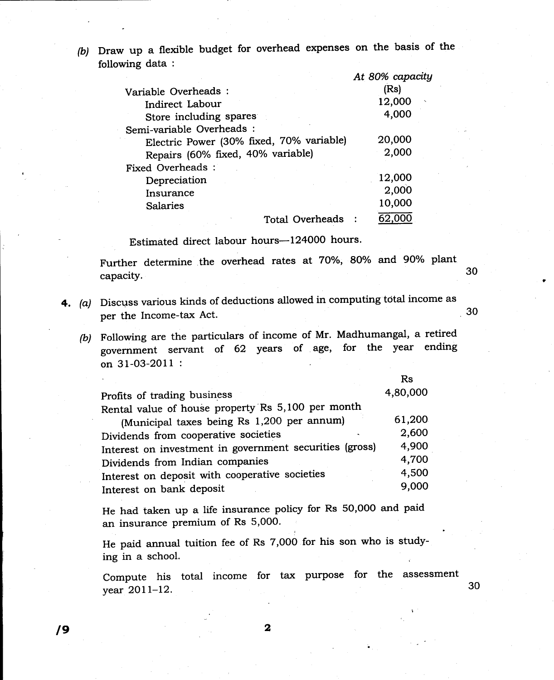(b) Draw up a flexible budget for overhead expenses on the basis of the following data :

|                                          | At 80% capacity |
|------------------------------------------|-----------------|
| Variable Overheads :                     | (Rs)            |
| Indirect Labour                          | 12,000          |
| Store including spares                   | 4,000           |
| Semi-variable Overheads :                |                 |
| Electric Power (30% fixed, 70% variable) | 20,000          |
| Repairs (60% fixed, 40% variable)        | 2,000           |
| <b>Fixed Overheads:</b>                  |                 |
| Depreciation                             | 12,000          |
| Insurance                                | 2,000           |
| Salaries                                 | 10,000          |
| <b>Total Overheads</b>                   |                 |

Estimated direct labour hours-124000 hours.

Further determine the overhead rates at 70%, 80% and 90% plant capacity. 30

- 4. (a) Discuss various kinds of deductions allowed in computing total income as per the Income-tax Act.
	- (b) Following are the particulars of income of Mr. Madhumangal, a retired government servant of 62 years of age, for the year ending on 31-O3-2011 :

 $\mathbf{D}_{\mathbf{a}}$ 

30

|                                                         | rs.      |
|---------------------------------------------------------|----------|
| Profits of trading business                             | 4,80,000 |
| Rental value of house property Rs 5,100 per month       |          |
| (Municipal taxes being Rs 1,200 per annum)              | 61,200   |
| Dividends from cooperative societies                    | 2,600    |
| Interest on investment in government securities (gross) | 4,900    |
| Dividends from Indian companies                         | 4,700    |
| Interest on deposit with cooperative societies          | 4,500    |
| Interest on bank deposit                                | 9,000    |
|                                                         |          |

He had taken up a life insurance policy for Rs 5O,O0O and paid an insurance premium of Rs 5,000.

He paid annual tuition fee of Rs 7,000 for his son who is studying in a school.

Compute his total income for tar purpose for the assessment year 2011-12. 30

 $\sqrt{9}$  2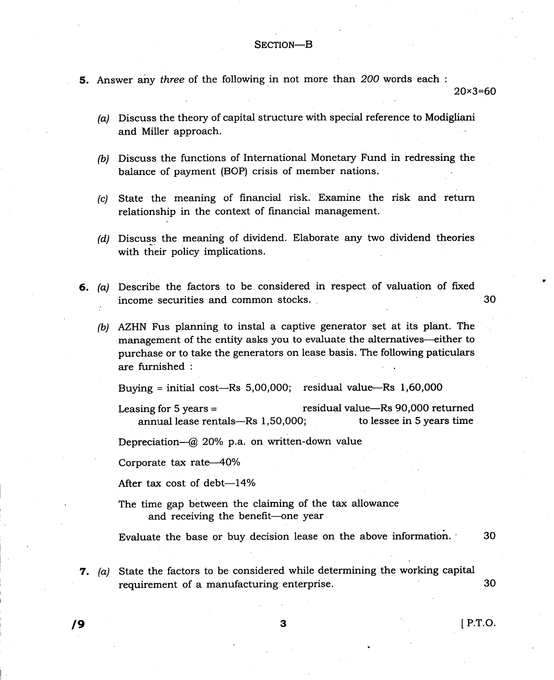### SECTION-B

**5.** Answer any three of the following in not more than 200 words each :

20x3=60

- (a) Discuss the theory of capital structure with special reference to Modigliani and Miller approach.
- (b) Discuss the functions of International Monetary Fund in redressing the balance of payment (BOP) crisis of member nations.
- (c) State the meaning of financial risk. Examine the risk and return relationship in the context of financial management.
- (d) Discuss the meaning of dividend. Elaborate any two dividend theories with their policy implications.
- 6. (a) Describe the factors to be considered in respect of valuation of fixed  $\mathbf{r}$ income securities and common stocks. 30

(b) AZHN Fus planning to instal a captive generator set at its plant. The management of the entity asks you to evaluate the alternatives-either to purchase or to take the generators on lease basis. The following paticulars are furnished :

Buying = initial cost-Rs  $5,00,000$ ; residual value-Rs  $1,60,000$ 

Leasing for 5 years = residual value-Rs 90,000 returned<br>annual lease rentals--Rs 1,50,000; to lessee in 5 years time annual lease rentals- $Rs$  1,50,000;

Depreciation-@ 20% p.a. on written-down value

Corporate tax rate-40%

After tax cost of debt $-14\%$ 

The time gap between the claiming of the tax allowance and receiving the benefit-one year

Evaluate the base or buy decision lease on the above information. 30

**7.** (a) State the factors to be considered while determining the working capital requirement of a manufacturing enterprise. The same state  $30$